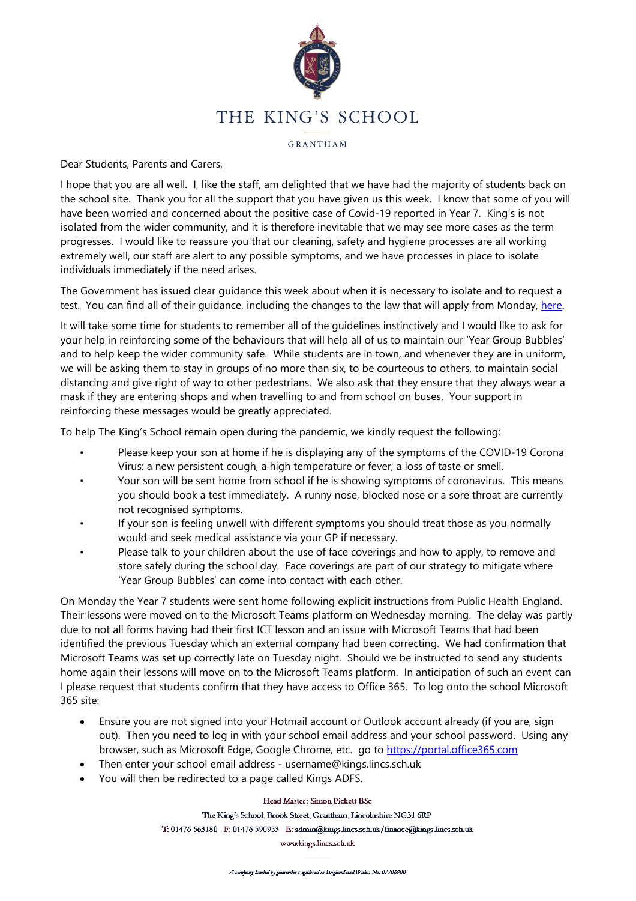

GRANTHAM

Dear Students, Parents and Carers,

I hope that you are all well. I, like the staff, am delighted that we have had the majority of students back on the school site. Thank you for all the support that you have given us this week. I know that some of you will have been worried and concerned about the positive case of Covid-19 reported in Year 7. King's is not isolated from the wider community, and it is therefore inevitable that we may see more cases as the term progresses. I would like to reassure you that our cleaning, safety and hygiene processes are all working extremely well, our staff are alert to any possible symptoms, and we have processes in place to isolate individuals immediately if the need arises.

The Government has issued clear guidance this week about when it is necessary to isolate and to request a test. You can find all of their guidance, including the changes to the law that will apply from Monday, [here.](https://www.gov.uk/coronavirus)

It will take some time for students to remember all of the guidelines instinctively and I would like to ask for your help in reinforcing some of the behaviours that will help all of us to maintain our 'Year Group Bubbles' and to help keep the wider community safe. While students are in town, and whenever they are in uniform, we will be asking them to stay in groups of no more than six, to be courteous to others, to maintain social distancing and give right of way to other pedestrians. We also ask that they ensure that they always wear a mask if they are entering shops and when travelling to and from school on buses. Your support in reinforcing these messages would be greatly appreciated.

To help The King's School remain open during the pandemic, we kindly request the following:

- Please keep your son at home if he is displaying any of the symptoms of the COVID-19 Corona Virus: a new persistent cough, a high temperature or fever, a loss of taste or smell.
- Your son will be sent home from school if he is showing symptoms of coronavirus. This means you should book a test immediately. A runny nose, blocked nose or a sore throat are currently not recognised symptoms.
- If your son is feeling unwell with different symptoms you should treat those as you normally would and seek medical assistance via your GP if necessary.
- Please talk to your children about the use of face coverings and how to apply, to remove and store safely during the school day. Face coverings are part of our strategy to mitigate where 'Year Group Bubbles' can come into contact with each other.

On Monday the Year 7 students were sent home following explicit instructions from Public Health England. Their lessons were moved on to the Microsoft Teams platform on Wednesday morning. The delay was partly due to not all forms having had their first ICT lesson and an issue with Microsoft Teams that had been identified the previous Tuesday which an external company had been correcting. We had confirmation that Microsoft Teams was set up correctly late on Tuesday night. Should we be instructed to send any students home again their lessons will move on to the Microsoft Teams platform. In anticipation of such an event can I please request that students confirm that they have access to Office 365. To log onto the school Microsoft 365 site:

- Ensure you are not signed into your Hotmail account or Outlook account already (if you are, sign out). Then you need to log in with your school email address and your school password. Using any browser, such as Microsoft Edge, Google Chrome, etc. go to [https://portal.office365.com](https://portal.office365.com/)
- Then enter your school email address username@kings.lincs.sch.uk
- You will then be redirected to a page called Kings ADFS.

Head Master: Simon Pickett BSc

The King's School, Brook Street, Grantham, Lincolnshire NG31 6RP

T: 01476 563180 F: 01476 590953 E: admin@kings.lincs.sch.uk/finance@kings.lincs.sch.uk

www.kings.lincs.sch.uk